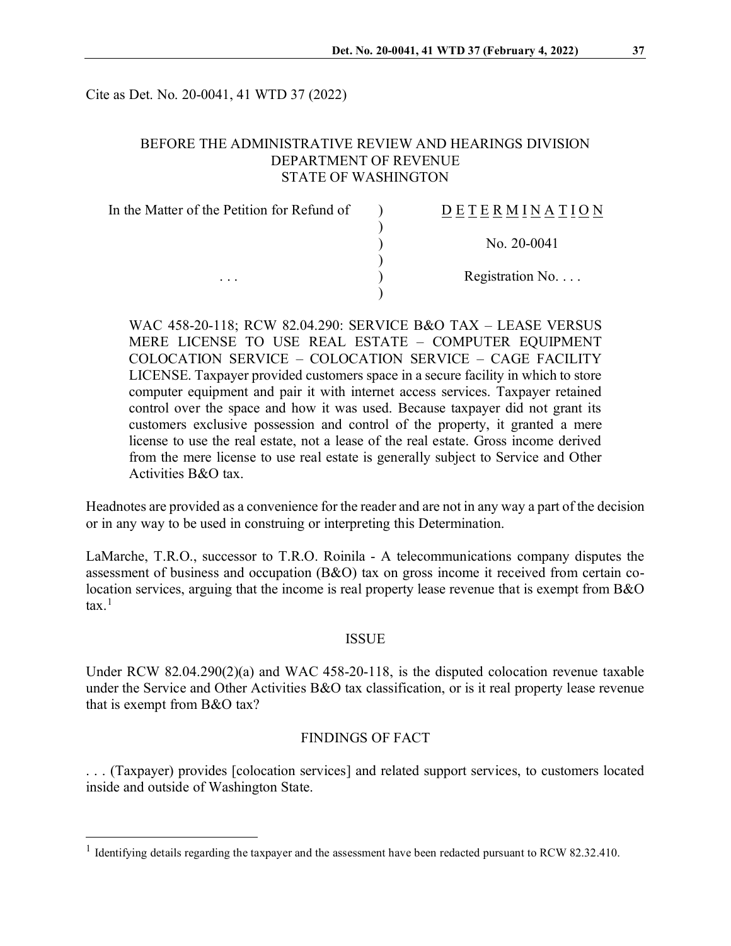Cite as Det. No. 20-0041, 41 WTD 37 (2022)

## BEFORE THE ADMINISTRATIVE REVIEW AND HEARINGS DIVISION DEPARTMENT OF REVENUE STATE OF WASHINGTON

| In the Matter of the Petition for Refund of | <b>DETERMINATION</b>     |
|---------------------------------------------|--------------------------|
|                                             | No. $20-0041$            |
| $\cdots$                                    | Registration No. $\dots$ |
|                                             |                          |

WAC 458-20-118; RCW 82.04.290: SERVICE B&O TAX – LEASE VERSUS MERE LICENSE TO USE REAL ESTATE – COMPUTER EQUIPMENT COLOCATION SERVICE – COLOCATION SERVICE – CAGE FACILITY LICENSE. Taxpayer provided customers space in a secure facility in which to store computer equipment and pair it with internet access services. Taxpayer retained control over the space and how it was used. Because taxpayer did not grant its customers exclusive possession and control of the property, it granted a mere license to use the real estate, not a lease of the real estate. Gross income derived from the mere license to use real estate is generally subject to Service and Other Activities B&O tax.

Headnotes are provided as a convenience for the reader and are not in any way a part of the decision or in any way to be used in construing or interpreting this Determination.

LaMarche, T.R.O., successor to T.R.O. Roinila - A telecommunications company disputes the assessment of business and occupation (B&O) tax on gross income it received from certain colocation services, arguing that the income is real property lease revenue that is exempt from B&O tax $^{-1}$  $^{-1}$  $^{-1}$ 

#### ISSUE

Under RCW 82.04.290(2)(a) and WAC 458-20-118, is the disputed colocation revenue taxable under the Service and Other Activities B&O tax classification, or is it real property lease revenue that is exempt from B&O tax?

# FINDINGS OF FACT

. . . (Taxpayer) provides [colocation services] and related support services, to customers located inside and outside of Washington State.

<span id="page-0-0"></span><sup>&</sup>lt;sup>1</sup> Identifying details regarding the taxpayer and the assessment have been redacted pursuant to RCW 82.32.410.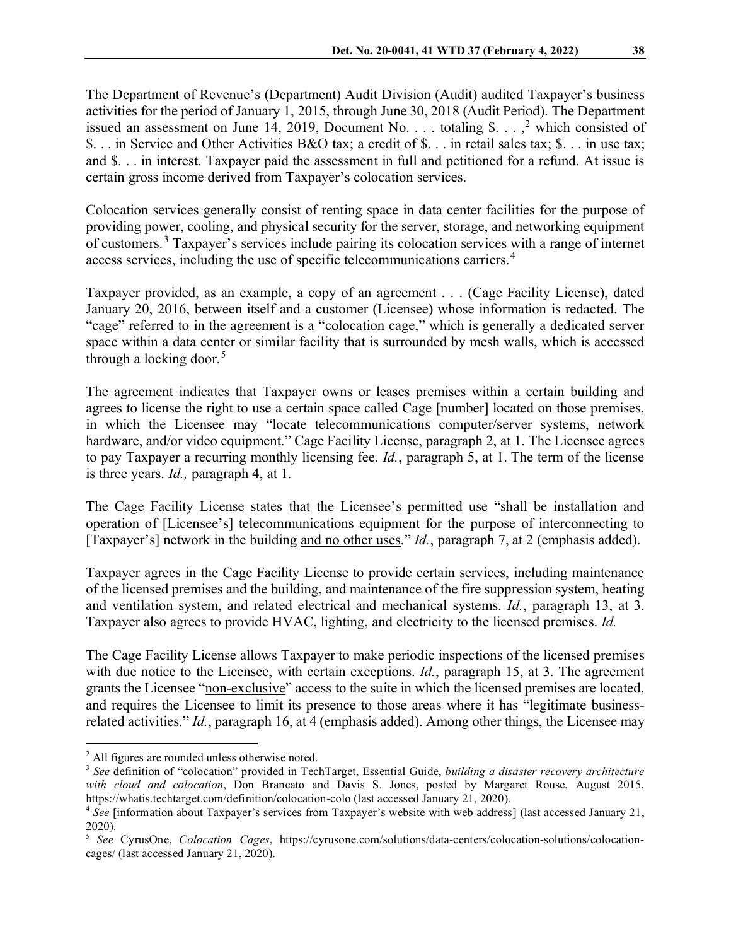The Department of Revenue's (Department) Audit Division (Audit) audited Taxpayer's business activities for the period of January 1, 2015, through June 30, 2018 (Audit Period). The Department issued an assessment on June 14, [2](#page-1-0)019, Document No. . . . totaling \$. . . ,<sup>2</sup> which consisted of \$. . . in Service and Other Activities B&O tax; a credit of \$. . . in retail sales tax; \$. . . in use tax; and \$. . . in interest. Taxpayer paid the assessment in full and petitioned for a refund. At issue is certain gross income derived from Taxpayer's colocation services.

Colocation services generally consist of renting space in data center facilities for the purpose of providing power, cooling, and physical security for the server, storage, and networking equipment of customers.<sup>[3](#page-1-1)</sup> Taxpayer's services include pairing its colocation services with a range of internet access services, including the use of specific telecommunications carriers.[4](#page-1-2)

Taxpayer provided, as an example, a copy of an agreement . . . (Cage Facility License), dated January 20, 2016, between itself and a customer (Licensee) whose information is redacted. The "cage" referred to in the agreement is a "colocation cage," which is generally a dedicated server space within a data center or similar facility that is surrounded by mesh walls, which is accessed through a locking door.<sup>[5](#page-1-3)</sup>

The agreement indicates that Taxpayer owns or leases premises within a certain building and agrees to license the right to use a certain space called Cage [number] located on those premises, in which the Licensee may "locate telecommunications computer/server systems, network hardware, and/or video equipment." Cage Facility License, paragraph 2, at 1. The Licensee agrees to pay Taxpayer a recurring monthly licensing fee. *Id.*, paragraph 5, at 1. The term of the license is three years. *Id.,* paragraph 4, at 1.

The Cage Facility License states that the Licensee's permitted use "shall be installation and operation of [Licensee's] telecommunications equipment for the purpose of interconnecting to [Taxpayer's] network in the building and no other uses." *Id.*, paragraph 7, at 2 (emphasis added).

Taxpayer agrees in the Cage Facility License to provide certain services, including maintenance of the licensed premises and the building, and maintenance of the fire suppression system, heating and ventilation system, and related electrical and mechanical systems. *Id.*, paragraph 13, at 3. Taxpayer also agrees to provide HVAC, lighting, and electricity to the licensed premises. *Id.*

The Cage Facility License allows Taxpayer to make periodic inspections of the licensed premises with due notice to the Licensee, with certain exceptions. *Id.*, paragraph 15, at 3. The agreement grants the Licensee "non-exclusive" access to the suite in which the licensed premises are located, and requires the Licensee to limit its presence to those areas where it has "legitimate businessrelated activities." *Id.*, paragraph 16, at 4 (emphasis added). Among other things, the Licensee may

<span id="page-1-0"></span> $<sup>2</sup>$  All figures are rounded unless otherwise noted.</sup>

<span id="page-1-1"></span><sup>3</sup> *See* definition of "colocation" provided in TechTarget, Essential Guide, *building a disaster recovery architecture with cloud and colocation*, Don Brancato and Davis S. Jones, posted by Margaret Rouse, August 2015, https://whatis.techtarget.com/definition/colocation-colo (last accessed January 21, 2020).

<span id="page-1-2"></span><sup>4</sup> *See* [information about Taxpayer's services from Taxpayer's website with web address] (last accessed January 21, 2020).

<span id="page-1-3"></span><sup>5</sup> *See* CyrusOne, *Colocation Cages*, https://cyrusone.com/solutions/data-centers/colocation-solutions/colocationcages/ (last accessed January 21, 2020).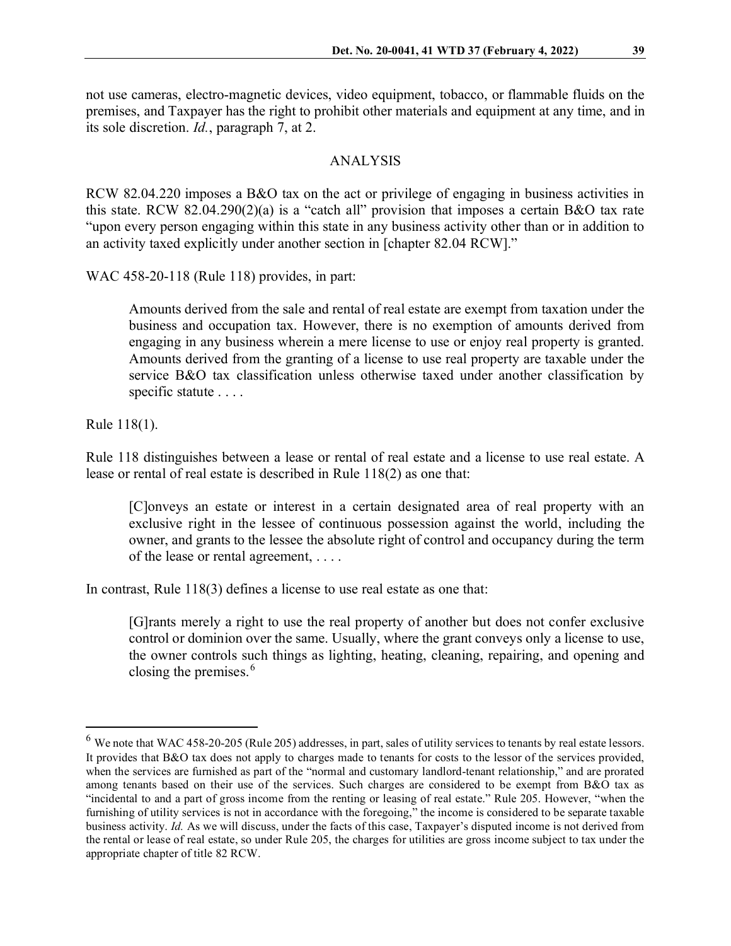not use cameras, electro-magnetic devices, video equipment, tobacco, or flammable fluids on the premises, and Taxpayer has the right to prohibit other materials and equipment at any time, and in its sole discretion. *Id.*, paragraph 7, at 2.

### ANALYSIS

RCW 82.04.220 imposes a B&O tax on the act or privilege of engaging in business activities in this state. RCW 82.04.290(2)(a) is a "catch all" provision that imposes a certain B&O tax rate "upon every person engaging within this state in any business activity other than or in addition to an activity taxed explicitly under another section in [chapter 82.04 RCW]."

WAC 458-20-118 (Rule 118) provides, in part:

Amounts derived from the sale and rental of real estate are exempt from taxation under the business and occupation tax. However, there is no exemption of amounts derived from engaging in any business wherein a mere license to use or enjoy real property is granted. Amounts derived from the granting of a license to use real property are taxable under the service B&O tax classification unless otherwise taxed under another classification by specific statute . . . .

Rule 118(1).

Rule 118 distinguishes between a lease or rental of real estate and a license to use real estate. A lease or rental of real estate is described in Rule 118(2) as one that:

[C]onveys an estate or interest in a certain designated area of real property with an exclusive right in the lessee of continuous possession against the world, including the owner, and grants to the lessee the absolute right of control and occupancy during the term of the lease or rental agreement, . . . .

In contrast, Rule 118(3) defines a license to use real estate as one that:

[G]rants merely a right to use the real property of another but does not confer exclusive control or dominion over the same. Usually, where the grant conveys only a license to use, the owner controls such things as lighting, heating, cleaning, repairing, and opening and closing the premises.<sup>[6](#page-2-0)</sup>

<span id="page-2-0"></span> $6$  We note that WAC 458-20-205 (Rule 205) addresses, in part, sales of utility services to tenants by real estate lessors. It provides that B&O tax does not apply to charges made to tenants for costs to the lessor of the services provided, when the services are furnished as part of the "normal and customary landlord-tenant relationship," and are prorated among tenants based on their use of the services. Such charges are considered to be exempt from B&O tax as "incidental to and a part of gross income from the renting or leasing of real estate." Rule 205. However, "when the furnishing of utility services is not in accordance with the foregoing," the income is considered to be separate taxable business activity. *Id.* As we will discuss, under the facts of this case, Taxpayer's disputed income is not derived from the rental or lease of real estate, so under Rule 205, the charges for utilities are gross income subject to tax under the appropriate chapter of title 82 RCW.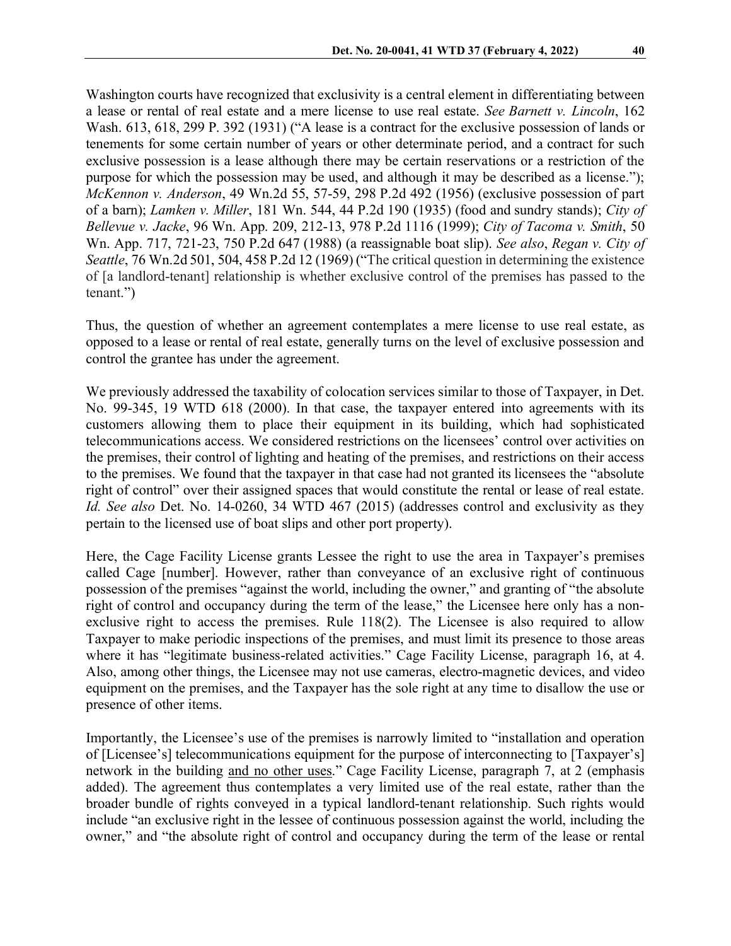Washington courts have recognized that exclusivity is a central element in differentiating between a lease or rental of real estate and a mere license to use real estate. *See Barnett v. Lincoln*, 162 Wash. 613, 618, 299 P. 392 (1931) ("A lease is a contract for the exclusive possession of lands or tenements for some certain number of years or other determinate period, and a contract for such exclusive possession is a lease although there may be certain reservations or a restriction of the purpose for which the possession may be used, and although it may be described as a license."); *McKennon v. Anderson*, 49 Wn.2d 55, 57-59, 298 P.2d 492 (1956) (exclusive possession of part of a barn); *Lamken v. Miller*, 181 Wn. 544, 44 P.2d 190 (1935) (food and sundry stands); *City of Bellevue v. Jacke*, 96 Wn. App. 209, 212-13, 978 P.2d 1116 (1999); *City of Tacoma v. Smith*, 50 Wn. App. 717, 721-23, 750 P.2d 647 (1988) (a reassignable boat slip). *See also*, *Regan v. City of Seattle*, 76 Wn.2d 501, 504, 458 P.2d 12 (1969) ("The critical question in determining the existence of [a landlord-tenant] relationship is whether exclusive control of the premises has passed to the tenant.")

Thus, the question of whether an agreement contemplates a mere license to use real estate, as opposed to a lease or rental of real estate, generally turns on the level of exclusive possession and control the grantee has under the agreement.

We previously addressed the taxability of colocation services similar to those of Taxpayer, in Det. No. 99-345, 19 WTD 618 (2000). In that case, the taxpayer entered into agreements with its customers allowing them to place their equipment in its building, which had sophisticated telecommunications access. We considered restrictions on the licensees' control over activities on the premises, their control of lighting and heating of the premises, and restrictions on their access to the premises. We found that the taxpayer in that case had not granted its licensees the "absolute right of control" over their assigned spaces that would constitute the rental or lease of real estate. *Id. See also* Det. No. 14-0260, 34 WTD 467 (2015) (addresses control and exclusivity as they pertain to the licensed use of boat slips and other port property).

Here, the Cage Facility License grants Lessee the right to use the area in Taxpayer's premises called Cage [number]. However, rather than conveyance of an exclusive right of continuous possession of the premises "against the world, including the owner," and granting of "the absolute right of control and occupancy during the term of the lease," the Licensee here only has a nonexclusive right to access the premises. Rule 118(2). The Licensee is also required to allow Taxpayer to make periodic inspections of the premises, and must limit its presence to those areas where it has "legitimate business-related activities." Cage Facility License, paragraph 16, at 4. Also, among other things, the Licensee may not use cameras, electro-magnetic devices, and video equipment on the premises, and the Taxpayer has the sole right at any time to disallow the use or presence of other items.

Importantly, the Licensee's use of the premises is narrowly limited to "installation and operation of [Licensee's] telecommunications equipment for the purpose of interconnecting to [Taxpayer's] network in the building and no other uses." Cage Facility License, paragraph 7, at 2 (emphasis added). The agreement thus contemplates a very limited use of the real estate, rather than the broader bundle of rights conveyed in a typical landlord-tenant relationship. Such rights would include "an exclusive right in the lessee of continuous possession against the world, including the owner," and "the absolute right of control and occupancy during the term of the lease or rental